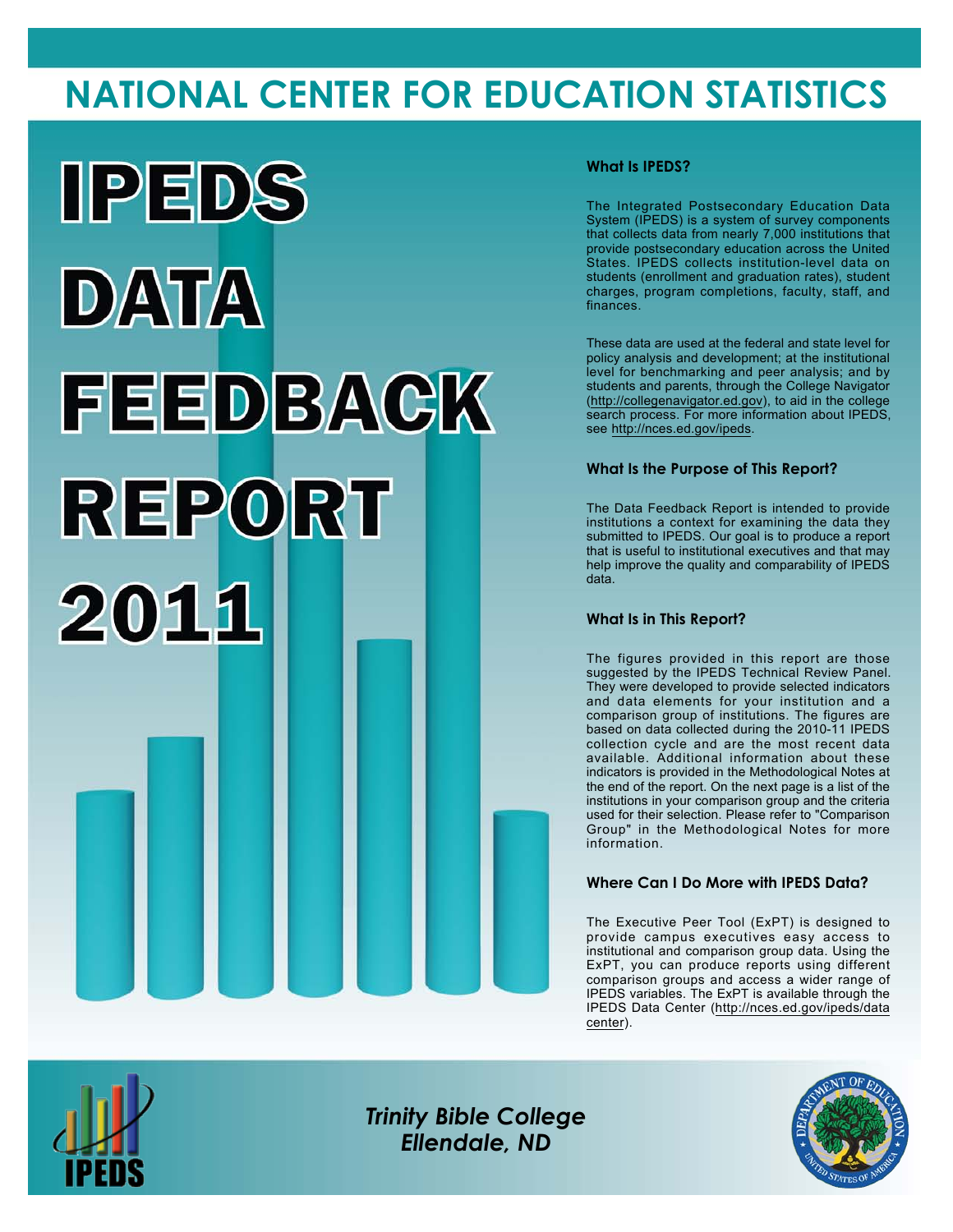# **NATIONAL CENTER FOR EDUCATION STATISTICS**



### **What Is IPEDS?**

The Integrated Postsecondary Education Data System (IPEDS) is a system of survey components that collects data from nearly 7,000 institutions that provide postsecondary education across the United States. IPEDS collects institution-level data on students (enrollment and graduation rates), student charges, program completions, faculty, staff, and finances.

These data are used at the federal and state level for policy analysis and development; at the institutional level for benchmarking and peer analysis; and by students and parents, through the College Navigator (<http://collegenavigator.ed.gov>), to aid in the college search process. For more information about IPEDS, see [http://nces.ed.gov/ipeds.](http://nces.ed.gov/ipeds)

### **What Is the Purpose of This Report?**

The Data Feedback Report is intended to provide institutions a context for examining the data they submitted to IPEDS. Our goal is to produce a report that is useful to institutional executives and that may help improve the quality and comparability of IPEDS data.

#### **What Is in This Report?**

The figures provided in this report are those suggested by the IPEDS Technical Review Panel. They were developed to provide selected indicators and data elements for your institution and a comparison group of institutions. The figures are based on data collected during the 2010-11 IPEDS collection cycle and are the most recent data available. Additional information about these indicators is provided in the Methodological Notes at the end of the report. On the next page is a list of the institutions in your comparison group and the criteria used for their selection. Please refer to "Comparison Group" in the Methodological Notes for more information.

### **Where Can I Do More with IPEDS Data?**

The Executive Peer Tool (ExPT) is designed to provide campus executives easy access to institutional and comparison group data. Using the ExPT, you can produce reports using different comparison groups and access a wider range of IPEDS variables. The ExPT is available through the IPEDS Data Center ([http://nces.ed.gov/ipeds/data](http://nces.ed.gov/ipeds/datacenter) [center](http://nces.ed.gov/ipeds/datacenter)).



Image description. Cover Image End of image description.

*Trinity Bible College Ellendale, ND*

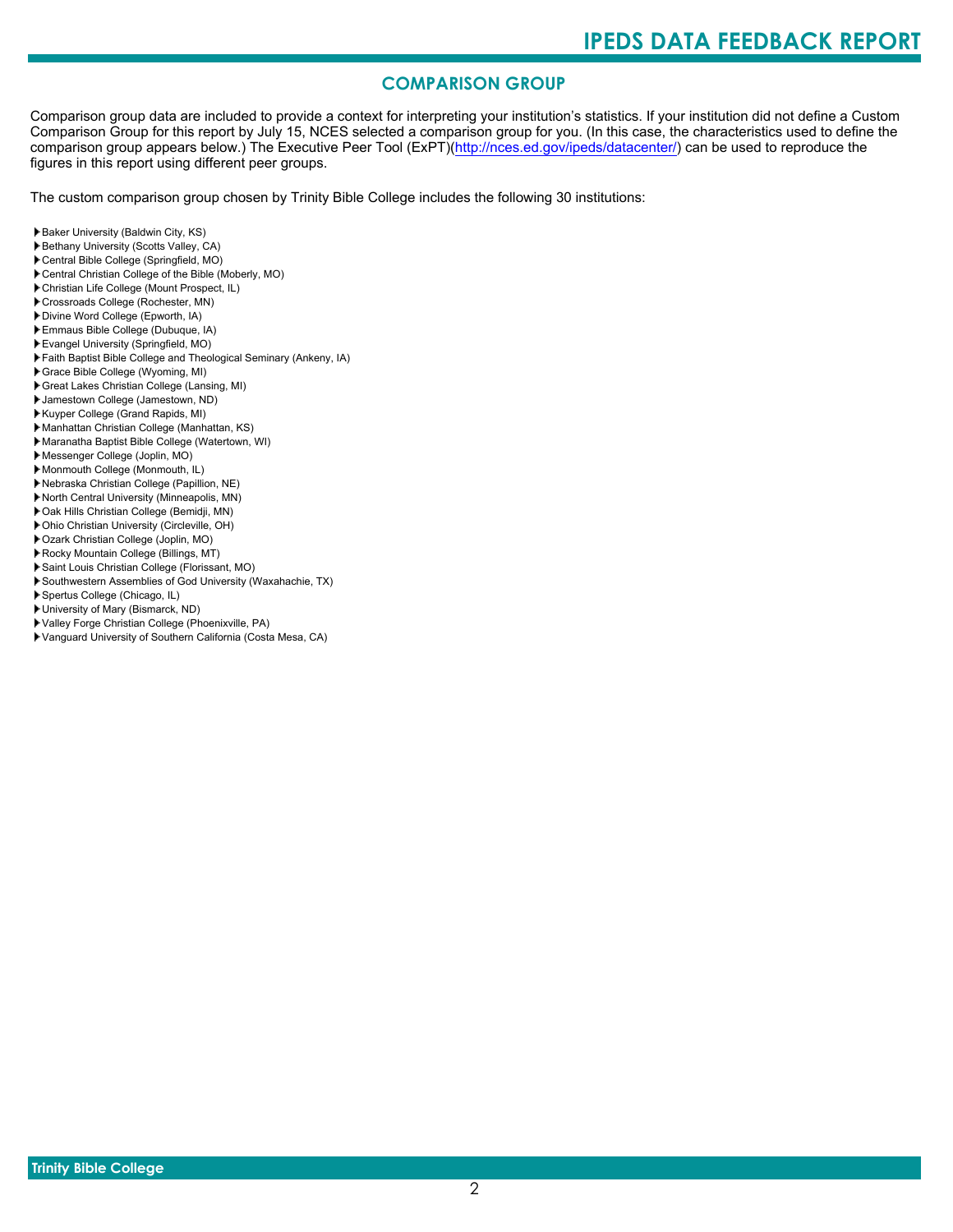# **COMPARISON GROUP**

Comparison group data are included to provide a context for interpreting your institution's statistics. If your institution did not define a Custom Comparison Group for this report by July 15, NCES selected a comparison group for you. (In this case, the characteristics used to define the comparison group appears below.) The Executive Peer Tool (ExPT)[\(http://nces.ed.gov/ipeds/datacenter/\)](http://nces.ed.gov/ipeds/datacenter/) can be used to reproduce the figures in this report using different peer groups.

The custom comparison group chosen by Trinity Bible College includes the following 30 institutions:

- Baker University (Baldwin City, KS)
- Bethany University (Scotts Valley, CA)
- Central Bible College (Springfield, MO)
- Central Christian College of the Bible (Moberly, MO)
- Christian Life College (Mount Prospect, IL)
- Crossroads College (Rochester, MN)
- Divine Word College (Epworth, IA)
- Emmaus Bible College (Dubuque, IA)
- Evangel University (Springfield, MO)
- Faith Baptist Bible College and Theological Seminary (Ankeny, IA)
- Grace Bible College (Wyoming, MI)
- Great Lakes Christian College (Lansing, MI)
- Jamestown College (Jamestown, ND)
- Kuyper College (Grand Rapids, MI)
- Manhattan Christian College (Manhattan, KS)
- Maranatha Baptist Bible College (Watertown, WI)
- Messenger College (Joplin, MO)
- Monmouth College (Monmouth, IL)
- Nebraska Christian College (Papillion, NE)
- North Central University (Minneapolis, MN)
- Oak Hills Christian College (Bemidji, MN)
- Ohio Christian University (Circleville, OH)
- Ozark Christian College (Joplin, MO)
- Rocky Mountain College (Billings, MT)
- Saint Louis Christian College (Florissant, MO)
- Southwestern Assemblies of God University (Waxahachie, TX)
- Spertus College (Chicago, IL)
- University of Mary (Bismarck, ND)
- Valley Forge Christian College (Phoenixville, PA)
- Vanguard University of Southern California (Costa Mesa, CA)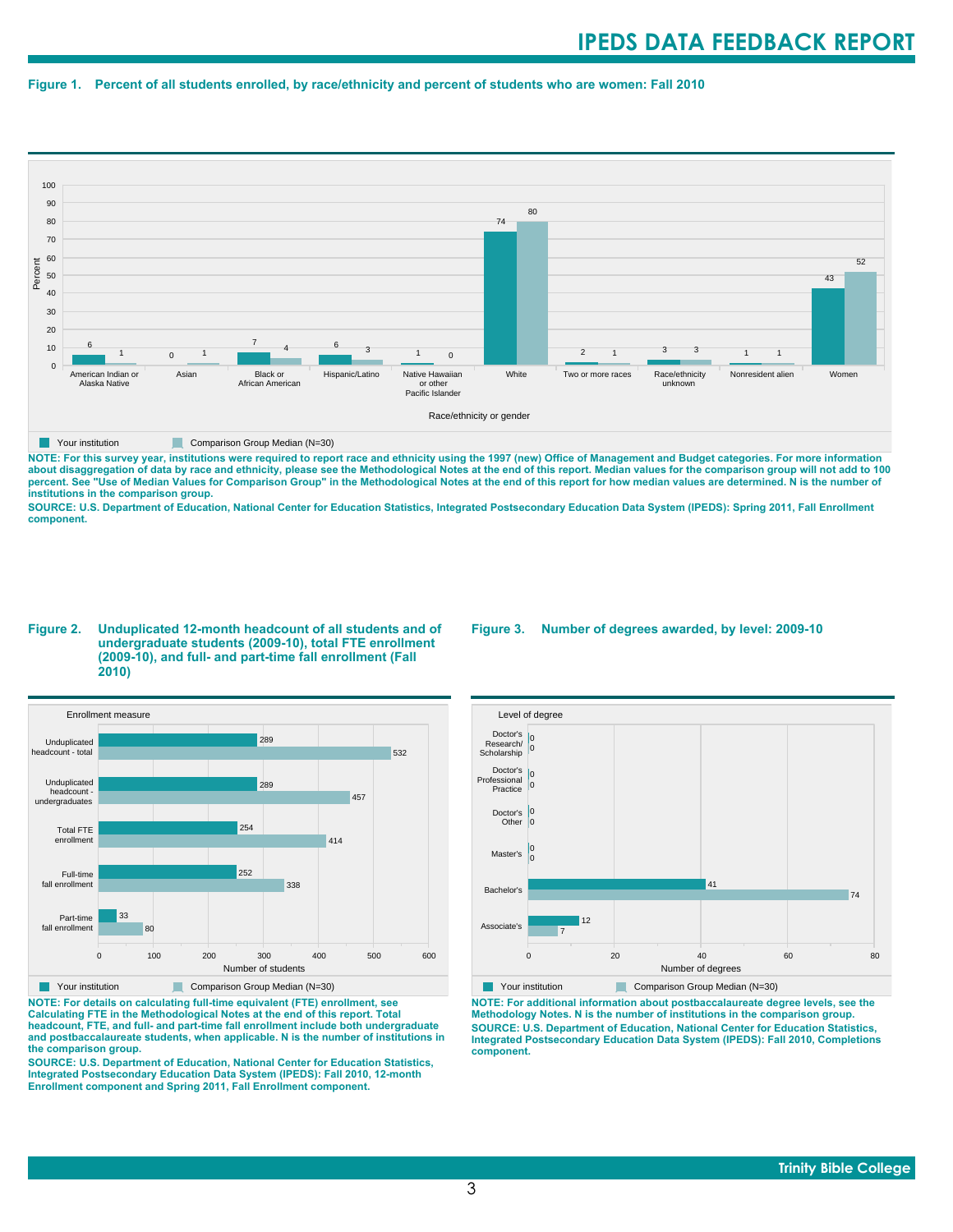#### **Figure 1. Percent of all students enrolled, by race/ethnicity and percent of students who are women: Fall 2010**



**NOTE: For this survey year, institutions were required to report race and ethnicity using the 1997 (new) Office of Management and Budget categories. For more information** about disaggregation of data by race and ethnicity, please see the Methodological Notes at the end of this report. Median values for the comparison group will not add to 100<br>percent. See "Use of Median Values for Compariso **institutions in the comparison group.**

**SOURCE: U.S. Department of Education, National Center for Education Statistics, Integrated Postsecondary Education Data System (IPEDS): Spring 2011, Fall Enrollment component.**

#### **Figure 2. Unduplicated 12-month headcount of all students and of undergraduate students (2009-10), total FTE enrollment (2009-10), and full- and part-time fall enrollment (Fall 2010)**



**NOTE: For details on calculating full-time equivalent (FTE) enrollment, see Calculating FTE in the Methodological Notes at the end of this report. Total headcount, FTE, and full- and part-time fall enrollment include both undergraduate and postbaccalaureate students, when applicable. N is the number of institutions in the comparison group.**

**SOURCE: U.S. Department of Education, National Center for Education Statistics, Integrated Postsecondary Education Data System (IPEDS): Fall 2010, 12-month Enrollment component and Spring 2011, Fall Enrollment component.**

#### **Figure 3. Number of degrees awarded, by level: 2009-10**



**NOTE: For additional information about postbaccalaureate degree levels, see the Methodology Notes. N is the number of institutions in the comparison group. SOURCE: U.S. Department of Education, National Center for Education Statistics, Integrated Postsecondary Education Data System (IPEDS): Fall 2010, Completions component.**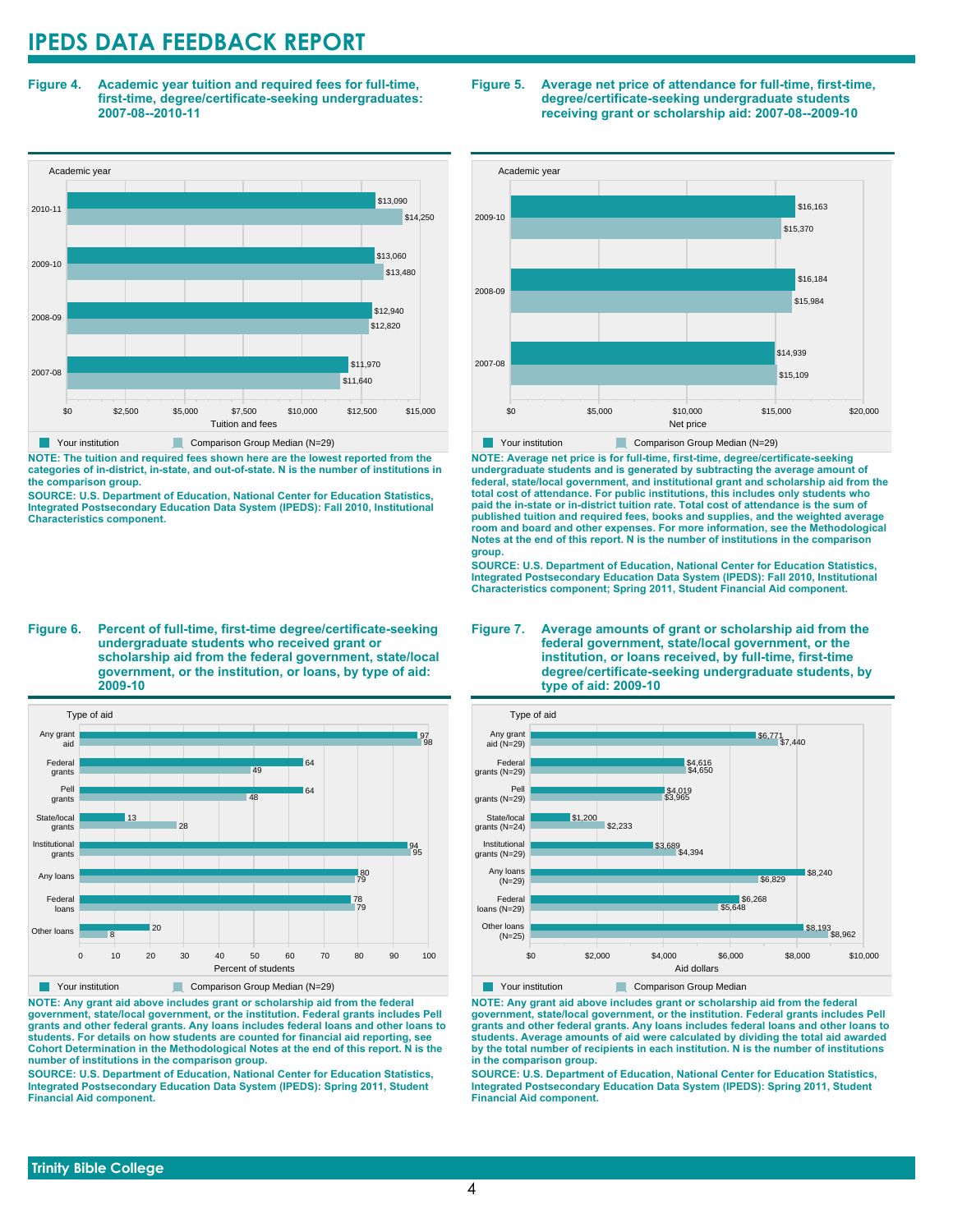**Figure 4. Academic year tuition and required fees for full-time, first-time, degree/certificate-seeking undergraduates: 2007-08--2010-11**



**NOTE: The tuition and required fees shown here are the lowest reported from the categories of in-district, in-state, and out-of-state. N is the number of institutions in the comparison group.**

**SOURCE: U.S. Department of Education, National Center for Education Statistics, Integrated Postsecondary Education Data System (IPEDS): Fall 2010, Institutional Characteristics component.**

**Figure 6. Percent of full-time, first-time degree/certificate-seeking undergraduate students who received grant or scholarship aid from the federal government, state/local government, or the institution, or loans, by type of aid: 2009-10**



**NOTE: Any grant aid above includes grant or scholarship aid from the federal government, state/local government, or the institution. Federal grants includes Pell grants and other federal grants. Any loans includes federal loans and other loans to students. For details on how students are counted for financial aid reporting, see Cohort Determination in the Methodological Notes at the end of this report. N is the number of institutions in the comparison group.**

**SOURCE: U.S. Department of Education, National Center for Education Statistics, Integrated Postsecondary Education Data System (IPEDS): Spring 2011, Student Financial Aid component.**

#### **Figure 5. Average net price of attendance for full-time, first-time, degree/certificate-seeking undergraduate students receiving grant or scholarship aid: 2007-08--2009-10**



**NOTE: Average net price is for full-time, first-time, degree/certificate-seeking undergraduate students and is generated by subtracting the average amount of federal, state/local government, and institutional grant and scholarship aid from the total cost of attendance. For public institutions, this includes only students who paid the in-state or in-district tuition rate. Total cost of attendance is the sum of published tuition and required fees, books and supplies, and the weighted average room and board and other expenses. For more information, see the Methodological Notes at the end of this report. N is the number of institutions in the comparison group.**

**SOURCE: U.S. Department of Education, National Center for Education Statistics, Integrated Postsecondary Education Data System (IPEDS): Fall 2010, Institutional Characteristics component; Spring 2011, Student Financial Aid component.**

#### **Figure 7. Average amounts of grant or scholarship aid from the federal government, state/local government, or the institution, or loans received, by full-time, first-time degree/certificate-seeking undergraduate students, by type of aid: 2009-10**



**NOTE: Any grant aid above includes grant or scholarship aid from the federal government, state/local government, or the institution. Federal grants includes Pell grants and other federal grants. Any loans includes federal loans and other loans to students. Average amounts of aid were calculated by dividing the total aid awarded by the total number of recipients in each institution. N is the number of institutions in the comparison group.**

**SOURCE: U.S. Department of Education, National Center for Education Statistics, Integrated Postsecondary Education Data System (IPEDS): Spring 2011, Student Financial Aid component.**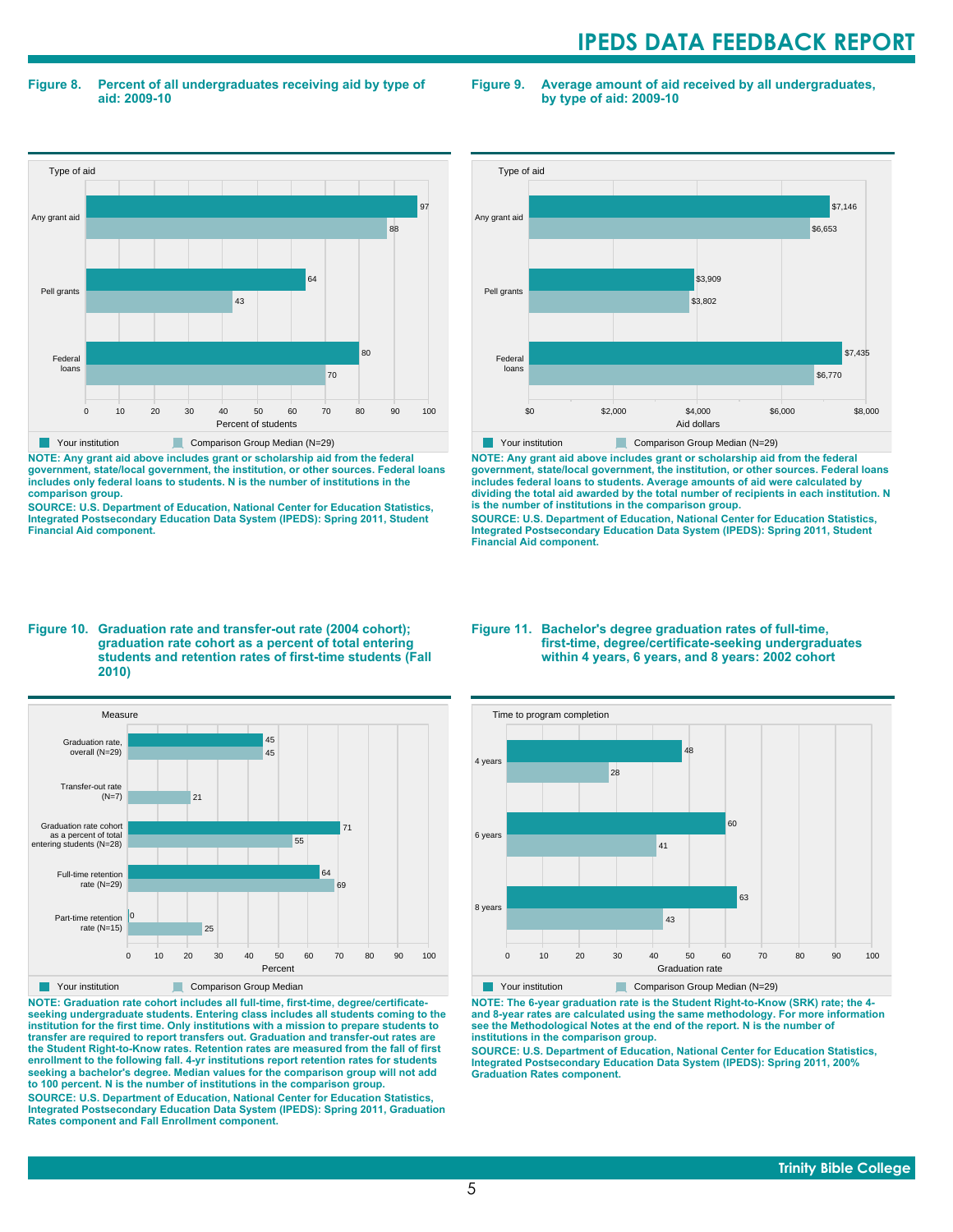**Figure 8. Percent of all undergraduates receiving aid by type of aid: 2009-10**

**Figure 9. Average amount of aid received by all undergraduates, by type of aid: 2009-10**



**NOTE: Any grant aid above includes grant or scholarship aid from the federal government, state/local government, the institution, or other sources. Federal loans includes only federal loans to students. N is the number of institutions in the comparison group.**

**SOURCE: U.S. Department of Education, National Center for Education Statistics, Integrated Postsecondary Education Data System (IPEDS): Spring 2011, Student Financial Aid component.**



**NOTE: Any grant aid above includes grant or scholarship aid from the federal government, state/local government, the institution, or other sources. Federal loans includes federal loans to students. Average amounts of aid were calculated by dividing the total aid awarded by the total number of recipients in each institution. N is the number of institutions in the comparison group.**

**SOURCE: U.S. Department of Education, National Center for Education Statistics, Integrated Postsecondary Education Data System (IPEDS): Spring 2011, Student Financial Aid component.**

#### **Figure 10. Graduation rate and transfer-out rate (2004 cohort); graduation rate cohort as a percent of total entering students and retention rates of first-time students (Fall 2010)**



**NOTE: Graduation rate cohort includes all full-time, first-time, degree/certificateseeking undergraduate students. Entering class includes all students coming to the institution for the first time. Only institutions with a mission to prepare students to transfer are required to report transfers out. Graduation and transfer-out rates are the Student Right-to-Know rates. Retention rates are measured from the fall of first enrollment to the following fall. 4-yr institutions report retention rates for students seeking a bachelor's degree. Median values for the comparison group will not add to 100 percent. N is the number of institutions in the comparison group.**

**SOURCE: U.S. Department of Education, National Center for Education Statistics, Integrated Postsecondary Education Data System (IPEDS): Spring 2011, Graduation Rates component and Fall Enrollment component.**

#### **Figure 11. Bachelor's degree graduation rates of full-time, first-time, degree/certificate-seeking undergraduates within 4 years, 6 years, and 8 years: 2002 cohort**



**NOTE: The 6-year graduation rate is the Student Right-to-Know (SRK) rate; the 4 and 8-year rates are calculated using the same methodology. For more information see the Methodological Notes at the end of the report. N is the number of institutions in the comparison group.**

**SOURCE: U.S. Department of Education, National Center for Education Statistics, Integrated Postsecondary Education Data System (IPEDS): Spring 2011, 200% Graduation Rates component.**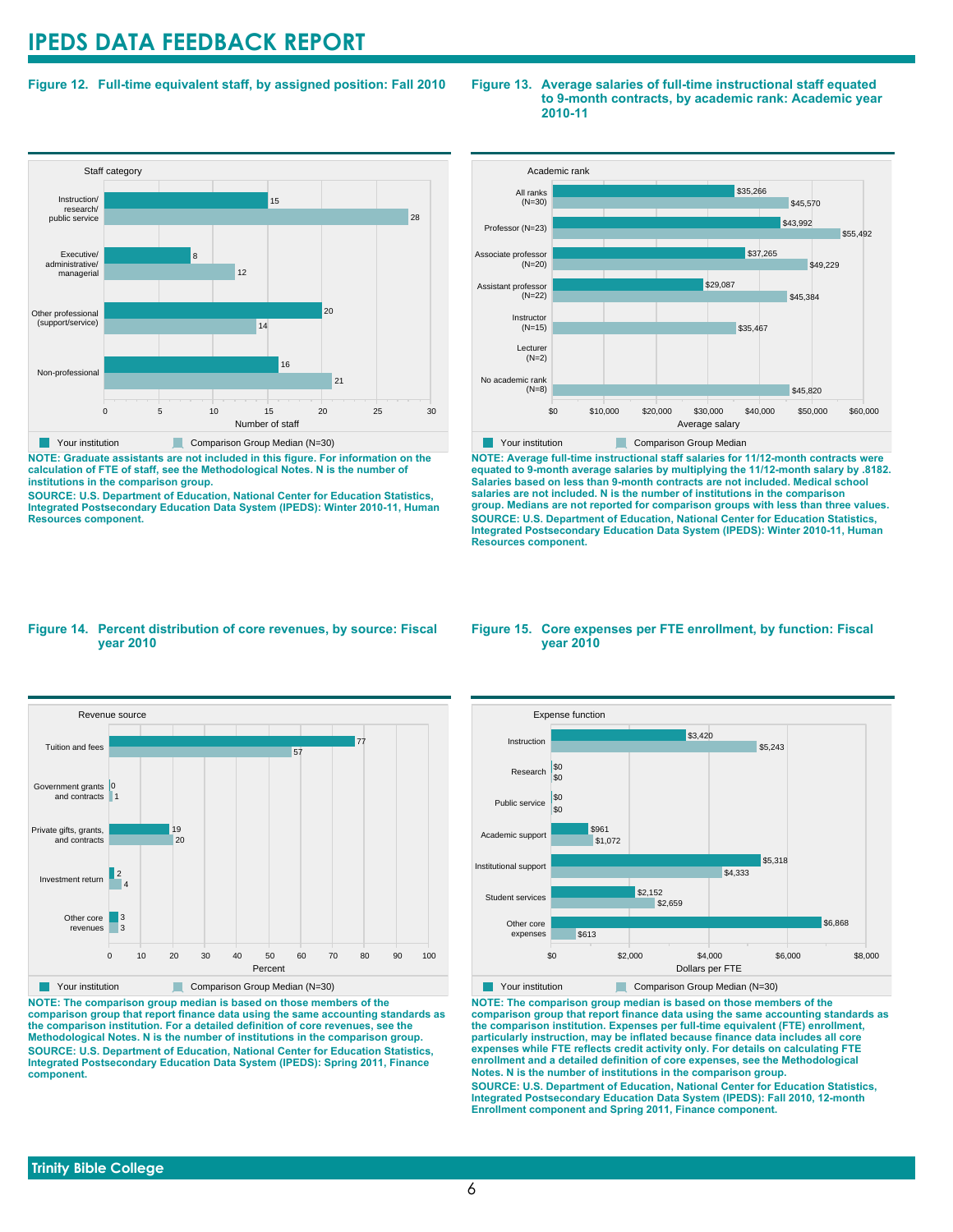### **Figure 12. Full-time equivalent staff, by assigned position: Fall 2010**

#### **Staff category** 0 5 10 15 20 25 30 Number of staff Non-professional Other professional (support/service) Executive/ administrative/ managerial Instruction/ research/ public service  $\overline{21}$ 16 14  $20$ 12 8 28 15 Your institution Comparison Group Median (N=30)

**NOTE: Graduate assistants are not included in this figure. For information on the calculation of FTE of staff, see the Methodological Notes. N is the number of institutions in the comparison group.**

**SOURCE: U.S. Department of Education, National Center for Education Statistics, Integrated Postsecondary Education Data System (IPEDS): Winter 2010-11, Human Resources component.**

#### **Figure 13. Average salaries of full-time instructional staff equated to 9-month contracts, by academic rank: Academic year 2010-11**



**NOTE: Average full-time instructional staff salaries for 11/12-month contracts were equated to 9-month average salaries by multiplying the 11/12-month salary by .8182. Salaries based on less than 9-month contracts are not included. Medical school salaries are not included. N is the number of institutions in the comparison group. Medians are not reported for comparison groups with less than three values. SOURCE: U.S. Department of Education, National Center for Education Statistics, Integrated Postsecondary Education Data System (IPEDS): Winter 2010-11, Human Resources component.**

#### **Figure 14. Percent distribution of core revenues, by source: Fiscal year 2010**



**NOTE: The comparison group median is based on those members of the comparison group that report finance data using the same accounting standards as the comparison institution. For a detailed definition of core revenues, see the Methodological Notes. N is the number of institutions in the comparison group. SOURCE: U.S. Department of Education, National Center for Education Statistics, Integrated Postsecondary Education Data System (IPEDS): Spring 2011, Finance component.**

#### **Figure 15. Core expenses per FTE enrollment, by function: Fiscal year 2010**



**Your institution** Comparison Group Median (N=30) **NOTE: The comparison group median is based on those members of the comparison group that report finance data using the same accounting standards as the comparison institution. Expenses per full-time equivalent (FTE) enrollment, particularly instruction, may be inflated because finance data includes all core expenses while FTE reflects credit activity only. For details on calculating FTE enrollment and a detailed definition of core expenses, see the Methodological Notes. N is the number of institutions in the comparison group. SOURCE: U.S. Department of Education, National Center for Education Statistics, Integrated Postsecondary Education Data System (IPEDS): Fall 2010, 12-month Enrollment component and Spring 2011, Finance component.**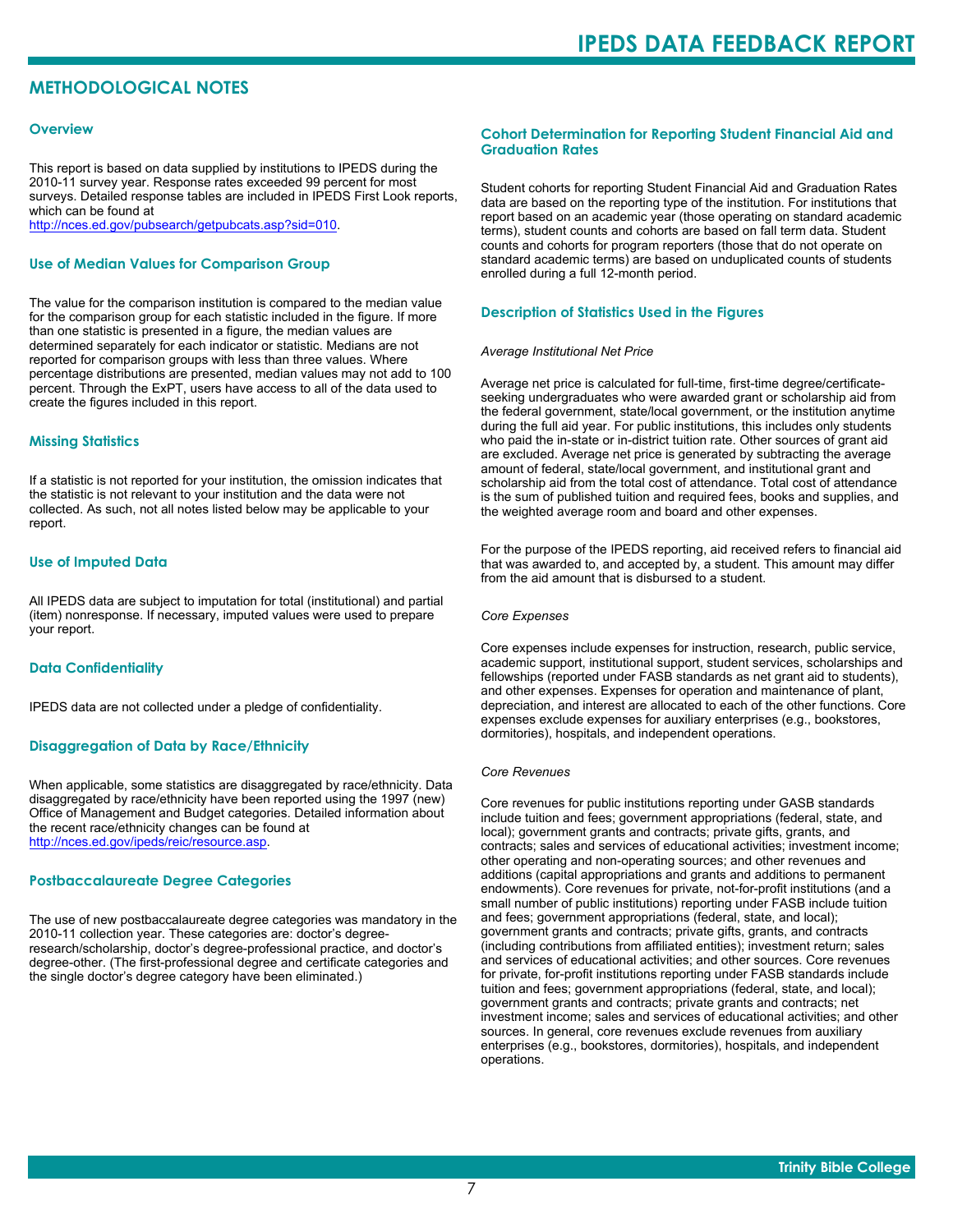## **METHODOLOGICAL NOTES**

#### **Overview**

This report is based on data supplied by institutions to IPEDS during the 2010-11 survey year. Response rates exceeded 99 percent for most surveys. Detailed response tables are included in IPEDS First Look reports, which can be found at [http://nces.ed.gov/pubsearch/getpubcats.asp?sid=010.](http://nces.ed.gov/pubsearch/getpubcats.asp?sid=010)

#### **Use of Median Values for Comparison Group**

The value for the comparison institution is compared to the median value for the comparison group for each statistic included in the figure. If more than one statistic is presented in a figure, the median values are determined separately for each indicator or statistic. Medians are not reported for comparison groups with less than three values. Where percentage distributions are presented, median values may not add to 100 percent. Through the ExPT, users have access to all of the data used to create the figures included in this report.

#### **Missing Statistics**

If a statistic is not reported for your institution, the omission indicates that the statistic is not relevant to your institution and the data were not collected. As such, not all notes listed below may be applicable to your report.

#### **Use of Imputed Data**

All IPEDS data are subject to imputation for total (institutional) and partial (item) nonresponse. If necessary, imputed values were used to prepare your report.

#### **Data Confidentiality**

IPEDS data are not collected under a pledge of confidentiality.

#### **Disaggregation of Data by Race/Ethnicity**

When applicable, some statistics are disaggregated by race/ethnicity. Data disaggregated by race/ethnicity have been reported using the 1997 (new) Office of Management and Budget categories. Detailed information about the recent race/ethnicity changes can be found at <http://nces.ed.gov/ipeds/reic/resource.asp>.

#### **Postbaccalaureate Degree Categories**

The use of new postbaccalaureate degree categories was mandatory in the 2010-11 collection year. These categories are: doctor's degreeresearch/scholarship, doctor's degree-professional practice, and doctor's degree-other. (The first-professional degree and certificate categories and the single doctor's degree category have been eliminated.)

#### **Cohort Determination for Reporting Student Financial Aid and Graduation Rates**

Student cohorts for reporting Student Financial Aid and Graduation Rates data are based on the reporting type of the institution. For institutions that report based on an academic year (those operating on standard academic terms), student counts and cohorts are based on fall term data. Student counts and cohorts for program reporters (those that do not operate on standard academic terms) are based on unduplicated counts of students enrolled during a full 12-month period.

#### **Description of Statistics Used in the Figures**

#### *Average Institutional Net Price*

Average net price is calculated for full-time, first-time degree/certificateseeking undergraduates who were awarded grant or scholarship aid from the federal government, state/local government, or the institution anytime during the full aid year. For public institutions, this includes only students who paid the in-state or in-district tuition rate. Other sources of grant aid are excluded. Average net price is generated by subtracting the average amount of federal, state/local government, and institutional grant and scholarship aid from the total cost of attendance. Total cost of attendance is the sum of published tuition and required fees, books and supplies, and the weighted average room and board and other expenses.

For the purpose of the IPEDS reporting, aid received refers to financial aid that was awarded to, and accepted by, a student. This amount may differ from the aid amount that is disbursed to a student.

#### *Core Expenses*

Core expenses include expenses for instruction, research, public service, academic support, institutional support, student services, scholarships and fellowships (reported under FASB standards as net grant aid to students), and other expenses. Expenses for operation and maintenance of plant, depreciation, and interest are allocated to each of the other functions. Core expenses exclude expenses for auxiliary enterprises (e.g., bookstores, dormitories), hospitals, and independent operations.

#### *Core Revenues*

Core revenues for public institutions reporting under GASB standards include tuition and fees; government appropriations (federal, state, and local); government grants and contracts; private gifts, grants, and contracts; sales and services of educational activities; investment income; other operating and non-operating sources; and other revenues and additions (capital appropriations and grants and additions to permanent endowments). Core revenues for private, not-for-profit institutions (and a small number of public institutions) reporting under FASB include tuition and fees; government appropriations (federal, state, and local); government grants and contracts; private gifts, grants, and contracts (including contributions from affiliated entities); investment return; sales and services of educational activities; and other sources. Core revenues for private, for-profit institutions reporting under FASB standards include tuition and fees; government appropriations (federal, state, and local); government grants and contracts; private grants and contracts; net investment income; sales and services of educational activities; and other sources. In general, core revenues exclude revenues from auxiliary enterprises (e.g., bookstores, dormitories), hospitals, and independent operations.